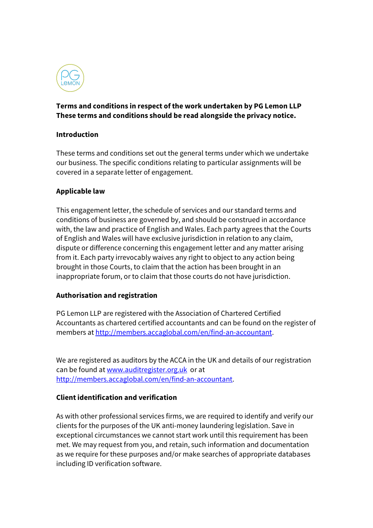

# **Terms and conditions in respect of the work undertaken by PG Lemon LLP These terms and conditions should be read alongside the privacy notice.**

#### **Introduction**

These terms and conditions set out the general terms under which we undertake our business. The specific conditions relating to particular assignments will be covered in a separate letter of engagement.

## **Applicable law**

This engagement letter, the schedule of services and our standard terms and conditions of business are governed by, and should be construed in accordance with, the law and practice of English and Wales. Each party agrees that the Courts of English and Wales will have exclusive jurisdiction in relation to any claim, dispute or difference concerning this engagement letter and any matter arising from it. Each party irrevocably waives any right to object to any action being brought in those Courts, to claim that the action has been brought in an inappropriate forum, or to claim that those courts do not have jurisdiction.

#### **Authorisation and registration**

PG Lemon LLP are registered with the Association of Chartered Certified Accountants as chartered certified accountants and can be found on the register of members at http://members.accaglobal.com/en/find-an-accountant.

We are registered as auditors by the ACCA in the UK and details of our registration can be found at www.auditregister.org.uk or at http://members.accaglobal.com/en/find-an-accountant.

# **Client identification and verification**

As with other professional services firms, we are required to identify and verify our clients for the purposes of the UK anti-money laundering legislation. Save in exceptional circumstances we cannot start work until this requirement has been met. We may request from you, and retain, such information and documentation as we require for these purposes and/or make searches of appropriate databases including ID verification software.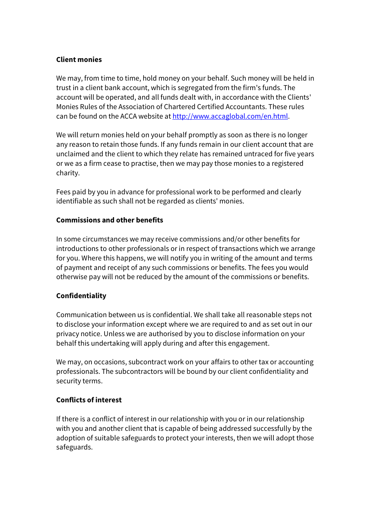## **Client monies**

We may, from time to time, hold money on your behalf. Such money will be held in trust in a client bank account, which is segregated from the firm's funds. The account will be operated, and all funds dealt with, in accordance with the Clients' Monies Rules of the Association of Chartered Certified Accountants. These rules can be found on the ACCA website at http://www.accaglobal.com/en.html.

We will return monies held on your behalf promptly as soon as there is no longer any reason to retain those funds. If any funds remain in our client account that are unclaimed and the client to which they relate has remained untraced for five years or we as a firm cease to practise, then we may pay those monies to a registered charity.

Fees paid by you in advance for professional work to be performed and clearly identifiable as such shall not be regarded as clients' monies.

## **Commissions and other benefits**

In some circumstances we may receive commissions and/or other benefits for introductions to other professionals or in respect of transactions which we arrange for you. Where this happens, we will notify you in writing of the amount and terms of payment and receipt of any such commissions or benefits. The fees you would otherwise pay will not be reduced by the amount of the commissions or benefits.

# **Confidentiality**

Communication between us is confidential. We shall take all reasonable steps not to disclose your information except where we are required to and as set out in our privacy notice. Unless we are authorised by you to disclose information on your behalf this undertaking will apply during and after this engagement.

We may, on occasions, subcontract work on your affairs to other tax or accounting professionals. The subcontractors will be bound by our client confidentiality and security terms.

#### **Conflicts of interest**

If there is a conflict of interest in our relationship with you or in our relationship with you and another client that is capable of being addressed successfully by the adoption of suitable safeguards to protect your interests, then we will adopt those safeguards.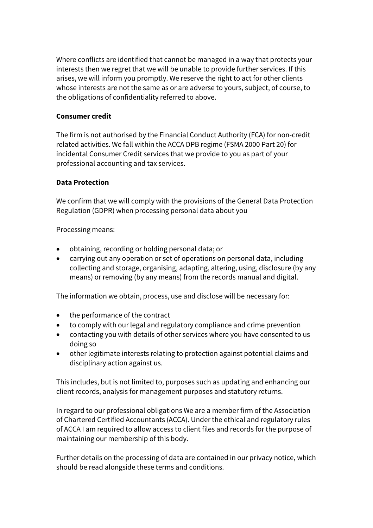Where conflicts are identified that cannot be managed in a way that protects your interests then we regret that we will be unable to provide further services. If this arises, we will inform you promptly. We reserve the right to act for other clients whose interests are not the same as or are adverse to yours, subject, of course, to the obligations of confidentiality referred to above.

## **Consumer credit**

The firm is not authorised by the Financial Conduct Authority (FCA) for non-credit related activities. We fall within the ACCA DPB regime (FSMA 2000 Part 20) for incidental Consumer Credit services that we provide to you as part of your professional accounting and tax services.

#### **Data Protection**

We confirm that we will comply with the provisions of the General Data Protection Regulation (GDPR) when processing personal data about you

Processing means:

- obtaining, recording or holding personal data; or
- carrying out any operation or set of operations on personal data, including collecting and storage, organising, adapting, altering, using, disclosure (by any means) or removing (by any means) from the records manual and digital.

The information we obtain, process, use and disclose will be necessary for:

- the performance of the contract
- to comply with our legal and regulatory compliance and crime prevention
- contacting you with details of other services where you have consented to us doing so
- other legitimate interests relating to protection against potential claims and disciplinary action against us.

This includes, but is not limited to, purposes such as updating and enhancing our client records, analysis for management purposes and statutory returns.

In regard to our professional obligations We are a member firm of the Association of Chartered Certified Accountants (ACCA). Under the ethical and regulatory rules of ACCA I am required to allow access to client files and records for the purpose of maintaining our membership of this body.

Further details on the processing of data are contained in our privacy notice, which should be read alongside these terms and conditions.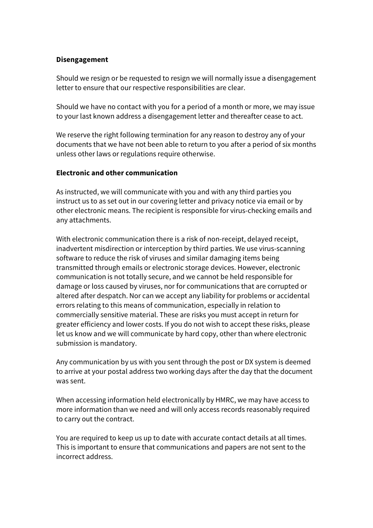### **Disengagement**

Should we resign or be requested to resign we will normally issue a disengagement letter to ensure that our respective responsibilities are clear.

Should we have no contact with you for a period of a month or more, we may issue to your last known address a disengagement letter and thereafter cease to act.

We reserve the right following termination for any reason to destroy any of your documents that we have not been able to return to you after a period of six months unless other laws or regulations require otherwise.

## **Electronic and other communication**

As instructed, we will communicate with you and with any third parties you instruct us to as set out in our covering letter and privacy notice via email or by other electronic means. The recipient is responsible for virus-checking emails and any attachments.

With electronic communication there is a risk of non-receipt, delayed receipt, inadvertent misdirection or interception by third parties. We use virus-scanning software to reduce the risk of viruses and similar damaging items being transmitted through emails or electronic storage devices. However, electronic communication is not totally secure, and we cannot be held responsible for damage or loss caused by viruses, nor for communications that are corrupted or altered after despatch. Nor can we accept any liability for problems or accidental errors relating to this means of communication, especially in relation to commercially sensitive material. These are risks you must accept in return for greater efficiency and lower costs. If you do not wish to accept these risks, please let us know and we will communicate by hard copy, other than where electronic submission is mandatory.

Any communication by us with you sent through the post or DX system is deemed to arrive at your postal address two working days after the day that the document was sent.

When accessing information held electronically by HMRC, we may have access to more information than we need and will only access records reasonably required to carry out the contract.

You are required to keep us up to date with accurate contact details at all times. This is important to ensure that communications and papers are not sent to the incorrect address.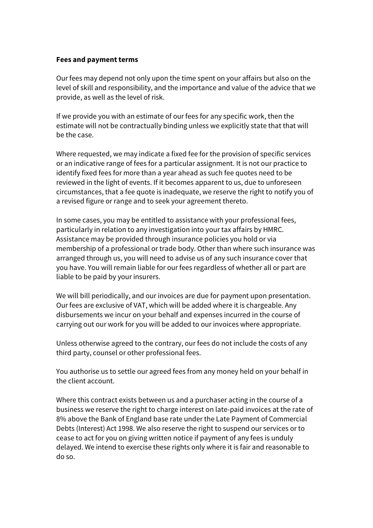#### **Fees and payment terms**

Our fees may depend not only upon the time spent on your affairs but also on the level of skill and responsibility, and the importance and value of the advice that we provide, as well as the level of risk.

If we provide you with an estimate of our fees for any specific work, then the estimate will not be contractually binding unless we explicitly state that that will be the case.

Where requested, we may indicate a fixed fee for the provision of specific services or an indicative range of fees for a particular assignment. It is not our practice to identify fixed fees for more than a year ahead as such fee quotes need to be reviewed in the light of events. If it becomes apparent to us, due to unforeseen circumstances, that a fee quote is inadequate, we reserve the right to notify you of a revised figure or range and to seek your agreement thereto.

In some cases, you may be entitled to assistance with your professional fees, particularly in relation to any investigation into your tax affairs by HMRC. Assistance may be provided through insurance policies you hold or via membership of a professional or trade body. Other than where such insurance was arranged through us, you will need to advise us of any such insurance cover that you have. You will remain liable for our fees regardless of whether all or part are liable to be paid by your insurers.

We will bill periodically, and our invoices are due for payment upon presentation. Our fees are exclusive of VAT, which will be added where it is chargeable. Any disbursements we incur on your behalf and expenses incurred in the course of carrying out our work for you will be added to our invoices where appropriate.

Unless otherwise agreed to the contrary, our fees do not include the costs of any third party, counsel or other professional fees.

You authorise us to settle our agreed fees from any money held on your behalf in the client account.

Where this contract exists between us and a purchaser acting in the course of a business we reserve the right to charge interest on late-paid invoices at the rate of 8% above the Bank of England base rate under the Late Payment of Commercial Debts (Interest) Act 1998. We also reserve the right to suspend our services or to cease to act for you on giving written notice if payment of any fees is unduly delayed. We intend to exercise these rights only where it is fair and reasonable to do so.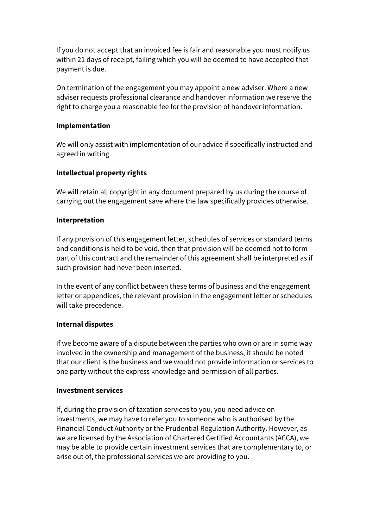If you do not accept that an invoiced fee is fair and reasonable you must notify us within 21 days of receipt, failing which you will be deemed to have accepted that payment is due.

On termination of the engagement you may appoint a new adviser. Where a new adviser requests professional clearance and handover information we reserve the right to charge you a reasonable fee for the provision of handover information.

#### **Implementation**

We will only assist with implementation of our advice if specifically instructed and agreed in writing.

#### **Intellectual property rights**

We will retain all copyright in any document prepared by us during the course of carrying out the engagement save where the law specifically provides otherwise.

#### **Interpretation**

If any provision of this engagement letter, schedules of services or standard terms and conditions is held to be void, then that provision will be deemed not to form part of this contract and the remainder of this agreement shall be interpreted as if such provision had never been inserted.

In the event of any conflict between these terms of business and the engagement letter or appendices, the relevant provision in the engagement letter or schedules will take precedence.

#### **Internal disputes**

If we become aware of a dispute between the parties who own or are in some way involved in the ownership and management of the business, it should be noted that our client is the business and we would not provide information or services to one party without the express knowledge and permission of all parties.

#### **Investment services**

If, during the provision of taxation services to you, you need advice on investments, we may have to refer you to someone who is authorised by the Financial Conduct Authority or the Prudential Regulation Authority. However, as we are licensed by the Association of Chartered Certified Accountants (ACCA), we may be able to provide certain investment services that are complementary to, or arise out of, the professional services we are providing to you.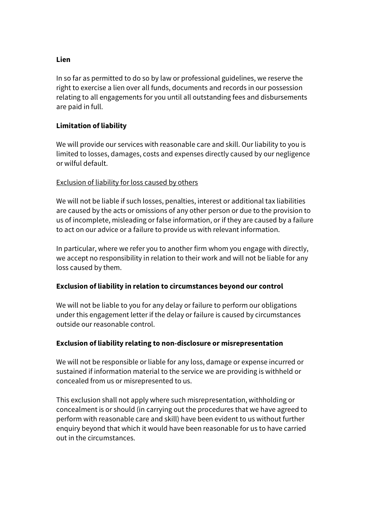#### **Lien**

In so far as permitted to do so by law or professional guidelines, we reserve the right to exercise a lien over all funds, documents and records in our possession relating to all engagements for you until all outstanding fees and disbursements are paid in full.

## **Limitation of liability**

We will provide our services with reasonable care and skill. Our liability to you is limited to losses, damages, costs and expenses directly caused by our negligence or wilful default.

#### Exclusion of liability for loss caused by others

We will not be liable if such losses, penalties, interest or additional tax liabilities are caused by the acts or omissions of any other person or due to the provision to us of incomplete, misleading or false information, or if they are caused by a failure to act on our advice or a failure to provide us with relevant information.

In particular, where we refer you to another firm whom you engage with directly, we accept no responsibility in relation to their work and will not be liable for any loss caused by them.

#### **Exclusion of liability in relation to circumstances beyond our control**

We will not be liable to you for any delay or failure to perform our obligations under this engagement letter if the delay or failure is caused by circumstances outside our reasonable control.

#### **Exclusion of liability relating to non-disclosure or misrepresentation**

We will not be responsible or liable for any loss, damage or expense incurred or sustained if information material to the service we are providing is withheld or concealed from us or misrepresented to us.

This exclusion shall not apply where such misrepresentation, withholding or concealment is or should (in carrying out the procedures that we have agreed to perform with reasonable care and skill) have been evident to us without further enquiry beyond that which it would have been reasonable for us to have carried out in the circumstances.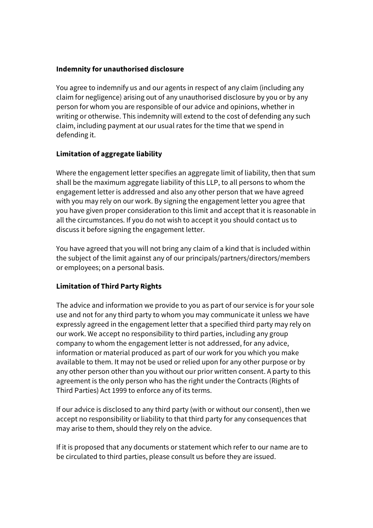### **Indemnity for unauthorised disclosure**

You agree to indemnify us and our agents in respect of any claim (including any claim for negligence) arising out of any unauthorised disclosure by you or by any person for whom you are responsible of our advice and opinions, whether in writing or otherwise. This indemnity will extend to the cost of defending any such claim, including payment at our usual rates for the time that we spend in defending it.

# **Limitation of aggregate liability**

Where the engagement letter specifies an aggregate limit of liability, then that sum shall be the maximum aggregate liability of this LLP, to all persons to whom the engagement letter is addressed and also any other person that we have agreed with you may rely on our work. By signing the engagement letter you agree that you have given proper consideration to this limit and accept that it is reasonable in all the circumstances. If you do not wish to accept it you should contact us to discuss it before signing the engagement letter.

You have agreed that you will not bring any claim of a kind that is included within the subject of the limit against any of our principals/partners/directors/members or employees; on a personal basis.

# **Limitation of Third Party Rights**

The advice and information we provide to you as part of our service is for your sole use and not for any third party to whom you may communicate it unless we have expressly agreed in the engagement letter that a specified third party may rely on our work. We accept no responsibility to third parties, including any group company to whom the engagement letter is not addressed, for any advice, information or material produced as part of our work for you which you make available to them. It may not be used or relied upon for any other purpose or by any other person other than you without our prior written consent. A party to this agreement is the only person who has the right under the Contracts (Rights of Third Parties) Act 1999 to enforce any of its terms.

If our advice is disclosed to any third party (with or without our consent), then we accept no responsibility or liability to that third party for any consequences that may arise to them, should they rely on the advice.

If it is proposed that any documents or statement which refer to our name are to be circulated to third parties, please consult us before they are issued.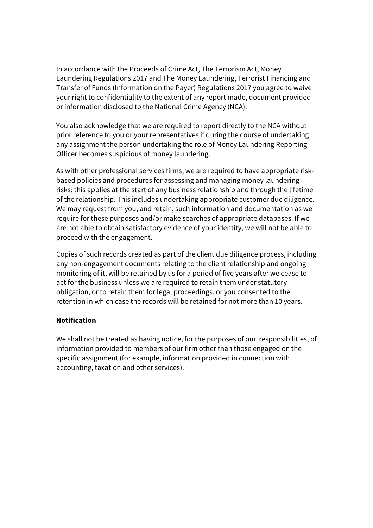In accordance with the Proceeds of Crime Act, The Terrorism Act, Money Laundering Regulations 2017 and The Money Laundering, Terrorist Financing and Transfer of Funds (Information on the Payer) Regulations 2017 you agree to waive your right to confidentiality to the extent of any report made, document provided or information disclosed to the National Crime Agency (NCA).

You also acknowledge that we are required to report directly to the NCA without prior reference to you or your representatives if during the course of undertaking any assignment the person undertaking the role of Money Laundering Reporting Officer becomes suspicious of money laundering.

As with other professional services firms, we are required to have appropriate riskbased policies and procedures for assessing and managing money laundering risks: this applies at the start of any business relationship and through the lifetime of the relationship. This includes undertaking appropriate customer due diligence. We may request from you, and retain, such information and documentation as we require for these purposes and/or make searches of appropriate databases. If we are not able to obtain satisfactory evidence of your identity, we will not be able to proceed with the engagement.

Copies of such records created as part of the client due diligence process, including any non-engagement documents relating to the client relationship and ongoing monitoring of it, will be retained by us for a period of five years after we cease to act for the business unless we are required to retain them under statutory obligation, or to retain them for legal proceedings, or you consented to the retention in which case the records will be retained for not more than 10 years.

## **Notification**

We shall not be treated as having notice, for the purposes of our responsibilities, of information provided to members of our firm other than those engaged on the specific assignment (for example, information provided in connection with accounting, taxation and other services).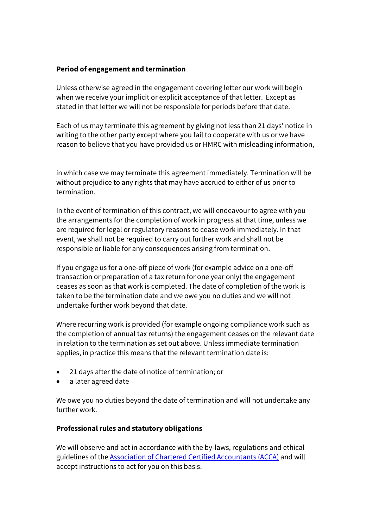### **Period of engagement and termination**

Unless otherwise agreed in the engagement covering letter our work will begin when we receive your implicit or explicit acceptance of that letter. Except as stated in that letter we will not be responsible for periods before that date.

Each of us may terminate this agreement by giving not less than 21 days' notice in writing to the other party except where you fail to cooperate with us or we have reason to believe that you have provided us or HMRC with misleading information,

in which case we may terminate this agreement immediately. Termination will be without prejudice to any rights that may have accrued to either of us prior to termination.

In the event of termination of this contract, we will endeavour to agree with you the arrangements for the completion of work in progress at that time, unless we are required for legal or regulatory reasons to cease work immediately. In that event, we shall not be required to carry out further work and shall not be responsible or liable for any consequences arising from termination.

If you engage us for a one-off piece of work (for example advice on a one-off transaction or preparation of a tax return for one year only) the engagement ceases as soon as that work is completed. The date of completion of the work is taken to be the termination date and we owe you no duties and we will not undertake further work beyond that date.

Where recurring work is provided (for example ongoing compliance work such as the completion of annual tax returns) the engagement ceases on the relevant date in relation to the termination as set out above. Unless immediate termination applies, in practice this means that the relevant termination date is:

- 21 days after the date of notice of termination; or
- a later agreed date

We owe you no duties beyond the date of termination and will not undertake any further work.

# **Professional rules and statutory obligations**

We will observe and act in accordance with the by-laws, regulations and ethical guidelines of the Association of Chartered Certified Accountants (ACCA) and will accept instructions to act for you on this basis.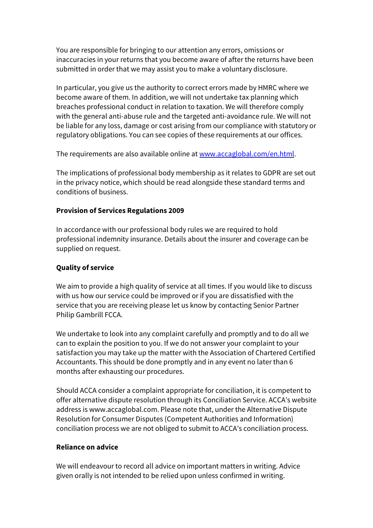You are responsible for bringing to our attention any errors, omissions or inaccuracies in your returns that you become aware of after the returns have been submitted in order that we may assist you to make a voluntary disclosure.

In particular, you give us the authority to correct errors made by HMRC where we become aware of them. In addition, we will not undertake tax planning which breaches professional conduct in relation to taxation. We will therefore comply with the general anti-abuse rule and the targeted anti-avoidance rule. We will not be liable for any loss, damage or cost arising from our compliance with statutory or regulatory obligations. You can see copies of these requirements at our offices.

The requirements are also available online at www.accaglobal.com/en.html.

The implications of professional body membership as it relates to GDPR are set out in the privacy notice, which should be read alongside these standard terms and conditions of business.

# **Provision of Services Regulations 2009**

In accordance with our professional body rules we are required to hold professional indemnity insurance. Details about the insurer and coverage can be supplied on request.

# **Quality of service**

We aim to provide a high quality of service at all times. If you would like to discuss with us how our service could be improved or if you are dissatisfied with the service that you are receiving please let us know by contacting Senior Partner Philip Gambrill FCCA.

We undertake to look into any complaint carefully and promptly and to do all we can to explain the position to you. If we do not answer your complaint to your satisfaction you may take up the matter with the Association of Chartered Certified Accountants. This should be done promptly and in any event no later than 6 months after exhausting our procedures.

Should ACCA consider a complaint appropriate for conciliation, it is competent to offer alternative dispute resolution through its Conciliation Service. ACCA's website address is www.accaglobal.com. Please note that, under the Alternative Dispute Resolution for Consumer Disputes (Competent Authorities and Information) conciliation process we are not obliged to submit to ACCA's conciliation process.

# **Reliance on advice**

We will endeavour to record all advice on important matters in writing. Advice given orally is not intended to be relied upon unless confirmed in writing.